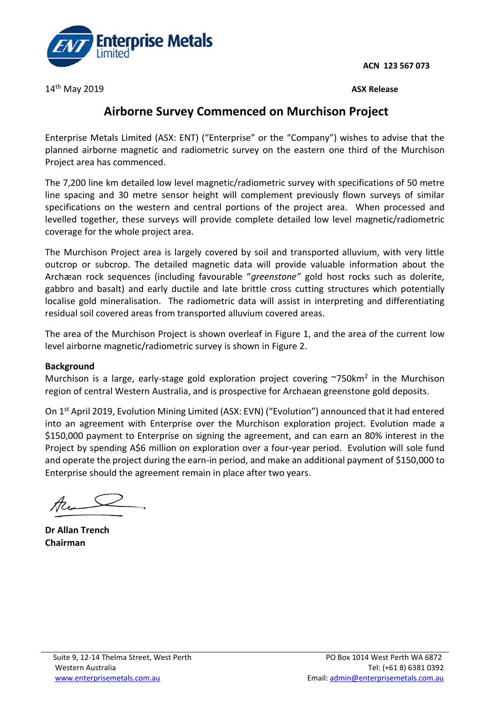**ACN 123 567 073**



14 th May 2019 **ASX Release** 

## **Airborne Survey Commenced on Murchison Project**

Enterprise Metals Limited (ASX: ENT) ("Enterprise" or the "Company") wishes to advise that the planned airborne magnetic and radiometric survey on the eastern one third of the Murchison Project area has commenced.

The 7,200 line km detailed low level magnetic/radiometric survey with specifications of 50 metre line spacing and 30 metre sensor height will complement previously flown surveys of similar specifications on the western and central portions of the project area. When processed and levelled together, these surveys will provide complete detailed low level magnetic/radiometric coverage for the whole project area.

The Murchison Project area is largely covered by soil and transported alluvium, with very little outcrop or subcrop. The detailed magnetic data will provide valuable information about the Archæan rock sequences (including favourable "*greenstone"* gold host rocks such as dolerite, gabbro and basalt) and early ductile and late brittle cross cutting structures which potentially localise gold mineralisation. The radiometric data will assist in interpreting and differentiating residual soil covered areas from transported alluvium covered areas.

The area of the Murchison Project is shown overleaf in Figure 1, and the area of the current low level airborne magnetic/radiometric survey is shown in Figure 2.

## **Background**

Murchison is a large, early-stage gold exploration project covering  $\sim$ 750km<sup>2</sup> in the Murchison region of central Western Australia, and is prospective for Archaean greenstone gold deposits.

On 1 st April 2019, Evolution Mining Limited (ASX: EVN) ("Evolution") announced that it had entered into an agreement with Enterprise over the Murchison exploration project. Evolution made a \$150,000 payment to Enterprise on signing the agreement, and can earn an 80% interest in the Project by spending A\$6 million on exploration over a four-year period. Evolution will sole fund and operate the project during the earn-in period, and make an additional payment of \$150,000 to Enterprise should the agreement remain in place after two years.

**Dr Allan Trench Chairman**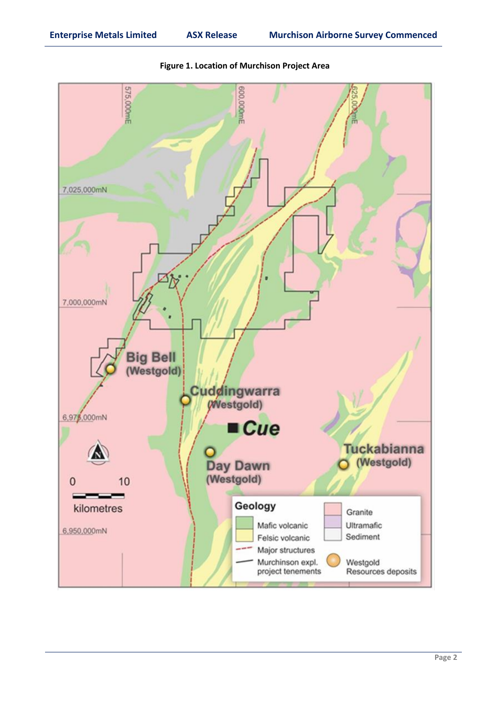

**Figure 1. Location of Murchison Project Area**